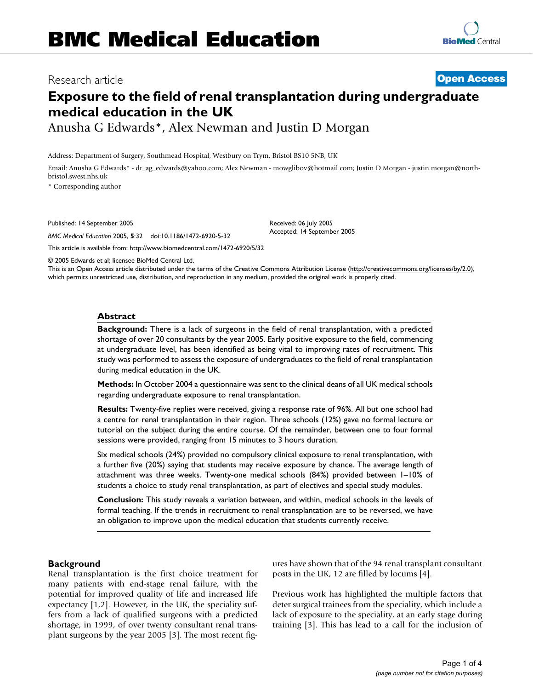## Research article **[Open Access](http://www.biomedcentral.com/info/about/charter/)**

# **Exposure to the field of renal transplantation during undergraduate medical education in the UK**

Anusha G Edwards\*, Alex Newman and Justin D Morgan

Address: Department of Surgery, Southmead Hospital, Westbury on Trym, Bristol BS10 5NB, UK

Email: Anusha G Edwards\* - dr\_ag\_edwards@yahoo.com; Alex Newman - mowglibov@hotmail.com; Justin D Morgan - justin.morgan@northbristol.swest.nhs.uk

> Received: 06 July 2005 Accepted: 14 September 2005

\* Corresponding author

Published: 14 September 2005

*BMC Medical Education* 2005, **5**:32 doi:10.1186/1472-6920-5-32

[This article is available from: http://www.biomedcentral.com/1472-6920/5/32](http://www.biomedcentral.com/1472-6920/5/32)

© 2005 Edwards et al; licensee BioMed Central Ltd.

This is an Open Access article distributed under the terms of the Creative Commons Attribution License [\(http://creativecommons.org/licenses/by/2.0\)](http://creativecommons.org/licenses/by/2.0), which permits unrestricted use, distribution, and reproduction in any medium, provided the original work is properly cited.

## **Abstract**

**Background:** There is a lack of surgeons in the field of renal transplantation, with a predicted shortage of over 20 consultants by the year 2005. Early positive exposure to the field, commencing at undergraduate level, has been identified as being vital to improving rates of recruitment. This study was performed to assess the exposure of undergraduates to the field of renal transplantation during medical education in the UK.

**Methods:** In October 2004 a questionnaire was sent to the clinical deans of all UK medical schools regarding undergraduate exposure to renal transplantation.

**Results:** Twenty-five replies were received, giving a response rate of 96%. All but one school had a centre for renal transplantation in their region. Three schools (12%) gave no formal lecture or tutorial on the subject during the entire course. Of the remainder, between one to four formal sessions were provided, ranging from 15 minutes to 3 hours duration.

Six medical schools (24%) provided no compulsory clinical exposure to renal transplantation, with a further five (20%) saying that students may receive exposure by chance. The average length of attachment was three weeks. Twenty-one medical schools (84%) provided between 1–10% of students a choice to study renal transplantation, as part of electives and special study modules.

**Conclusion:** This study reveals a variation between, and within, medical schools in the levels of formal teaching. If the trends in recruitment to renal transplantation are to be reversed, we have an obligation to improve upon the medical education that students currently receive.

## **Background**

Renal transplantation is the first choice treatment for many patients with end-stage renal failure, with the potential for improved quality of life and increased life expectancy [1,2]. However, in the UK, the speciality suffers from a lack of qualified surgeons with a predicted shortage, in 1999, of over twenty consultant renal transplant surgeons by the year 2005 [3]. The most recent figures have shown that of the 94 renal transplant consultant posts in the UK, 12 are filled by locums [4].

Previous work has highlighted the multiple factors that deter surgical trainees from the speciality, which include a lack of exposure to the speciality, at an early stage during training [3]. This has lead to a call for the inclusion of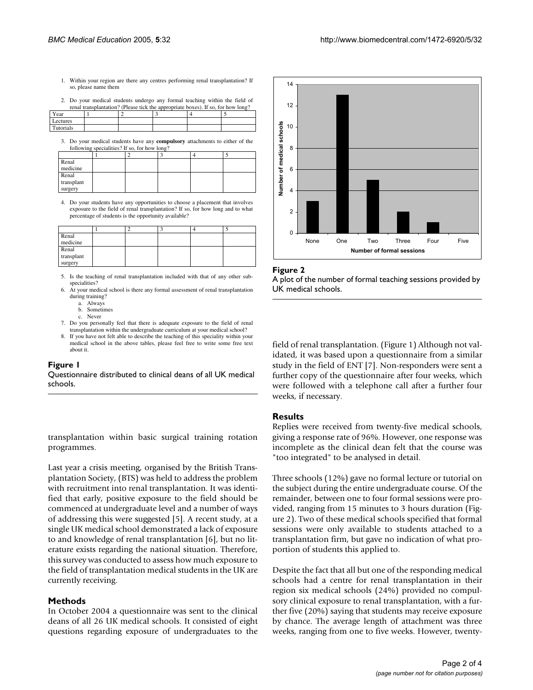- 1. Within your region are there any centres performing renal transplantation? If so, please name them
- 2. Do your medical students undergo any formal teaching within the field of

|           | renal transplantation? (Please tick the appropriate boxes). If so, for how long? |  |  |
|-----------|----------------------------------------------------------------------------------|--|--|
| Year      |                                                                                  |  |  |
| Lectures  |                                                                                  |  |  |
| Tutorials |                                                                                  |  |  |

3. Do your medical students have any **compulsory** attachments to either of the following specialities? If so, for how long?

| Renal      |  |  |  |
|------------|--|--|--|
| medicine   |  |  |  |
| Renal      |  |  |  |
| transplant |  |  |  |
| surgery    |  |  |  |

4. Do your students have any opportunities to choose a placement that involves exposure to the field of renal transplantation? If so, for how long and to what percentage of students is the opportunity available?

| Renal      |  |  |  |
|------------|--|--|--|
| medicine   |  |  |  |
| Renal      |  |  |  |
| transplant |  |  |  |
| surgery    |  |  |  |

5. Is the teaching of renal transplantation included with that of any other subspecialities?

- 6. At your medical school is there any formal assessment of renal transplantation during training?
	- a. Always Sometimes
	- c. Never
- 7. Do you personally feel that there is adequate exposure to the field of renal transplantation within the undergraduate curriculum at your medical school?
- 8. If you have not felt able to describe the teaching of this speciality within your medical school in the above tables, please feel free to write some free text about it.

## Figure 1

Questionnaire distributed to clinical deans of all UK medical schools.

transplantation within basic surgical training rotation programmes.

Last year a crisis meeting, organised by the British Transplantation Society, (BTS) was held to address the problem with recruitment into renal transplantation. It was identified that early, positive exposure to the field should be commenced at undergraduate level and a number of ways of addressing this were suggested [5]. A recent study, at a single UK medical school demonstrated a lack of exposure to and knowledge of renal transplantation [6], but no literature exists regarding the national situation. Therefore, this survey was conducted to assess how much exposure to the field of transplantation medical students in the UK are currently receiving.

## **Methods**

In October 2004 a questionnaire was sent to the clinical deans of all 26 UK medical schools. It consisted of eight questions regarding exposure of undergraduates to the



#### Figure 2

A plot of the number of formal teaching sessions provided by UK medical schools.

field of renal transplantation. (Figure 1) Although not validated, it was based upon a questionnaire from a similar study in the field of ENT [7]. Non-responders were sent a further copy of the questionnaire after four weeks, which were followed with a telephone call after a further four weeks, if necessary.

## **Results**

Replies were received from twenty-five medical schools, giving a response rate of 96%. However, one response was incomplete as the clinical dean felt that the course was "too integrated" to be analysed in detail.

Three schools (12%) gave no formal lecture or tutorial on the subject during the entire undergraduate course. Of the remainder, between one to four formal sessions were provided, ranging from 15 minutes to 3 hours duration (Figure 2). Two of these medical schools specified that formal sessions were only available to students attached to a transplantation firm, but gave no indication of what proportion of students this applied to.

Despite the fact that all but one of the responding medical schools had a centre for renal transplantation in their region six medical schools (24%) provided no compulsory clinical exposure to renal transplantation, with a further five (20%) saying that students may receive exposure by chance. The average length of attachment was three weeks, ranging from one to five weeks. However, twenty-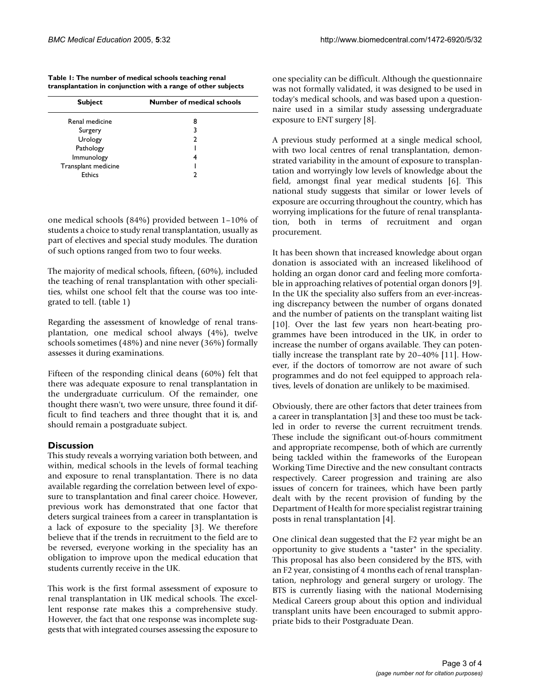**Table 1: The number of medical schools teaching renal transplantation in conjunction with a range of other subjects**

| <b>Subject</b>      | Number of medical schools |
|---------------------|---------------------------|
| Renal medicine      | 8                         |
| Surgery             | 3                         |
| Urology             | 2                         |
| Pathology           |                           |
| Immunology          | 4                         |
| Transplant medicine |                           |
| Ethics              | າ                         |

one medical schools (84%) provided between 1–10% of students a choice to study renal transplantation, usually as part of electives and special study modules. The duration of such options ranged from two to four weeks.

The majority of medical schools, fifteen, (60%), included the teaching of renal transplantation with other specialities, whilst one school felt that the course was too integrated to tell. (table 1)

Regarding the assessment of knowledge of renal transplantation, one medical school always (4%), twelve schools sometimes (48%) and nine never (36%) formally assesses it during examinations.

Fifteen of the responding clinical deans (60%) felt that there was adequate exposure to renal transplantation in the undergraduate curriculum. Of the remainder, one thought there wasn't, two were unsure, three found it difficult to find teachers and three thought that it is, and should remain a postgraduate subject.

## **Discussion**

This study reveals a worrying variation both between, and within, medical schools in the levels of formal teaching and exposure to renal transplantation. There is no data available regarding the correlation between level of exposure to transplantation and final career choice. However, previous work has demonstrated that one factor that deters surgical trainees from a career in transplantation is a lack of exposure to the speciality [3]. We therefore believe that if the trends in recruitment to the field are to be reversed, everyone working in the speciality has an obligation to improve upon the medical education that students currently receive in the UK.

This work is the first formal assessment of exposure to renal transplantation in UK medical schools. The excellent response rate makes this a comprehensive study. However, the fact that one response was incomplete suggests that with integrated courses assessing the exposure to one speciality can be difficult. Although the questionnaire was not formally validated, it was designed to be used in today's medical schools, and was based upon a questionnaire used in a similar study assessing undergraduate exposure to ENT surgery [8].

A previous study performed at a single medical school, with two local centres of renal transplantation, demonstrated variability in the amount of exposure to transplantation and worryingly low levels of knowledge about the field, amongst final year medical students [6]. This national study suggests that similar or lower levels of exposure are occurring throughout the country, which has worrying implications for the future of renal transplantation, both in terms of recruitment and organ procurement.

It has been shown that increased knowledge about organ donation is associated with an increased likelihood of holding an organ donor card and feeling more comfortable in approaching relatives of potential organ donors [9]. In the UK the speciality also suffers from an ever-increasing discrepancy between the number of organs donated and the number of patients on the transplant waiting list [10]. Over the last few years non heart-beating programmes have been introduced in the UK, in order to increase the number of organs available. They can potentially increase the transplant rate by 20–40% [11]. However, if the doctors of tomorrow are not aware of such programmes and do not feel equipped to approach relatives, levels of donation are unlikely to be maximised.

Obviously, there are other factors that deter trainees from a career in transplantation [3] and these too must be tackled in order to reverse the current recruitment trends. These include the significant out-of-hours commitment and appropriate recompense, both of which are currently being tackled within the frameworks of the European Working Time Directive and the new consultant contracts respectively. Career progression and training are also issues of concern for trainees, which have been partly dealt with by the recent provision of funding by the Department of Health for more specialist registrar training posts in renal transplantation [4].

One clinical dean suggested that the F2 year might be an opportunity to give students a "taster" in the speciality. This proposal has also been considered by the BTS, with an F2 year, consisting of 4 months each of renal transplantation, nephrology and general surgery or urology. The BTS is currently liasing with the national Modernising Medical Careers group about this option and individual transplant units have been encouraged to submit appropriate bids to their Postgraduate Dean.